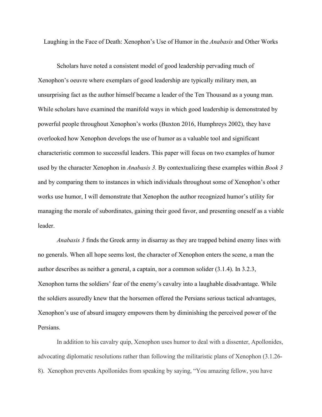Laughing in the Face of Death: Xenophon's Use of Humor in the *Anabasis* and Other Works

Scholars have noted a consistent model of good leadership pervading much of Xenophon's oeuvre where exemplars of good leadership are typically military men, an unsurprising fact as the author himself became a leader of the Ten Thousand as a young man. While scholars have examined the manifold ways in which good leadership is demonstrated by powerful people throughout Xenophon's works (Buxton 2016, Humphreys 2002), they have overlooked how Xenophon develops the use of humor as a valuable tool and significant characteristic common to successful leaders. This paper will focus on two examples of humor used by the character Xenophon in *Anabasis 3.* By contextualizing these examples within *Book 3* and by comparing them to instances in which individuals throughout some of Xenophon's other works use humor, I will demonstrate that Xenophon the author recognized humor's utility for managing the morale of subordinates, gaining their good favor, and presenting oneself as a viable leader.

*Anabasis 3* finds the Greek army in disarray as they are trapped behind enemy lines with no generals. When all hope seems lost, the character of Xenophon enters the scene, a man the author describes as neither a general, a captain, nor a common solider (3.1.4). In 3.2.3, Xenophon turns the soldiers' fear of the enemy's cavalry into a laughable disadvantage. While the soldiers assuredly knew that the horsemen offered the Persians serious tactical advantages, Xenophon's use of absurd imagery empowers them by diminishing the perceived power of the Persians.

In addition to his cavalry quip, Xenophon uses humor to deal with a dissenter, Apollonides, advocating diplomatic resolutions rather than following the militaristic plans of Xenophon (3.1.26- 8). Xenophon prevents Apollonides from speaking by saying, "You amazing fellow, you have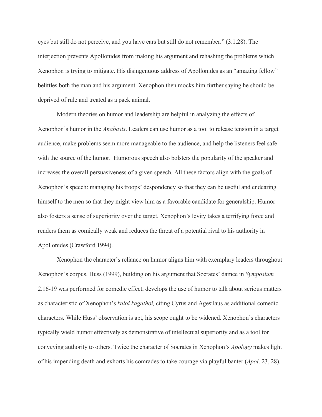eyes but still do not perceive, and you have ears but still do not remember." (3.1.28). The interjection prevents Apollonides from making his argument and rehashing the problems which Xenophon is trying to mitigate. His disingenuous address of Apollonides as an "amazing fellow" belittles both the man and his argument. Xenophon then mocks him further saying he should be deprived of rule and treated as a pack animal.

Modern theories on humor and leadership are helpful in analyzing the effects of Xenophon's humor in the *Anabasis*. Leaders can use humor as a tool to release tension in a target audience, make problems seem more manageable to the audience, and help the listeners feel safe with the source of the humor. Humorous speech also bolsters the popularity of the speaker and increases the overall persuasiveness of a given speech. All these factors align with the goals of Xenophon's speech: managing his troops' despondency so that they can be useful and endearing himself to the men so that they might view him as a favorable candidate for generalship. Humor also fosters a sense of superiority over the target. Xenophon's levity takes a terrifying force and renders them as comically weak and reduces the threat of a potential rival to his authority in Apollonides (Crawford 1994).

Xenophon the character's reliance on humor aligns him with exemplary leaders throughout Xenophon's corpus. Huss (1999), building on his argument that Socrates' damce in *Symposium*  2.16-19 was performed for comedic effect, develops the use of humor to talk about serious matters as characteristic of Xenophon's *kaloi kagathoi,* citing Cyrus and Agesilaus as additional comedic characters. While Huss' observation is apt, his scope ought to be widened. Xenophon's characters typically wield humor effectively as demonstrative of intellectual superiority and as a tool for conveying authority to others. Twice the character of Socrates in Xenophon's *Apology* makes light of his impending death and exhorts his comrades to take courage via playful banter (*Apol*. 23, 28).